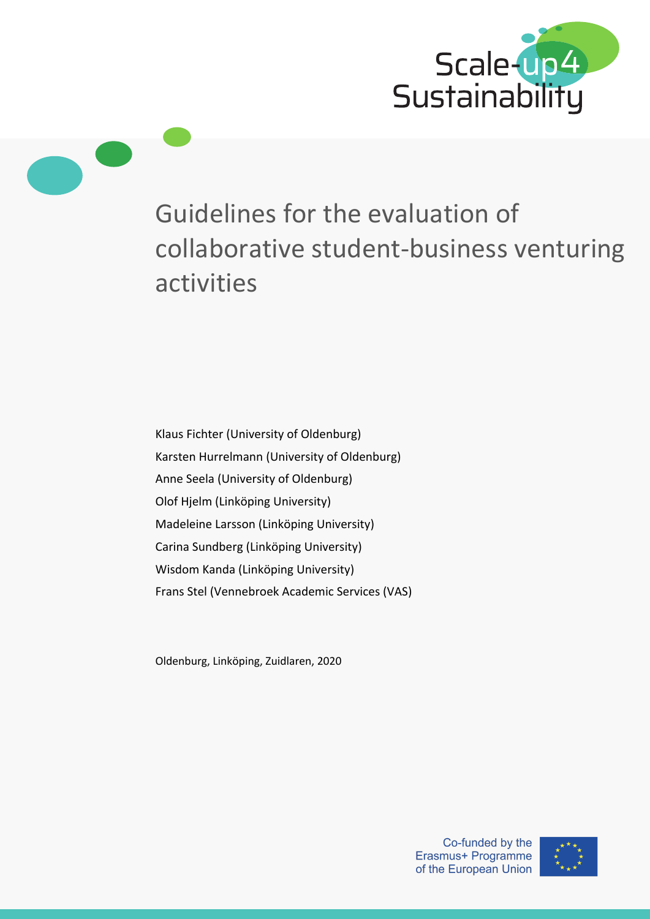

# Guidelines for the evaluation of collaborative student-business venturing activities

Klaus Fichter (University of Oldenburg) Karsten Hurrelmann (University of Oldenburg) Anne Seela (University of Oldenburg) Olof Hjelm (Linköping University) Madeleine Larsson (Linköping University) Carina Sundberg (Linköping University) Wisdom Kanda (Linköping University) Frans Stel (Vennebroek Academic Services (VAS)

Oldenburg, Linköping, Zuidlaren, 2020

Co-funded by the Erasmus+ Programme of the European Union

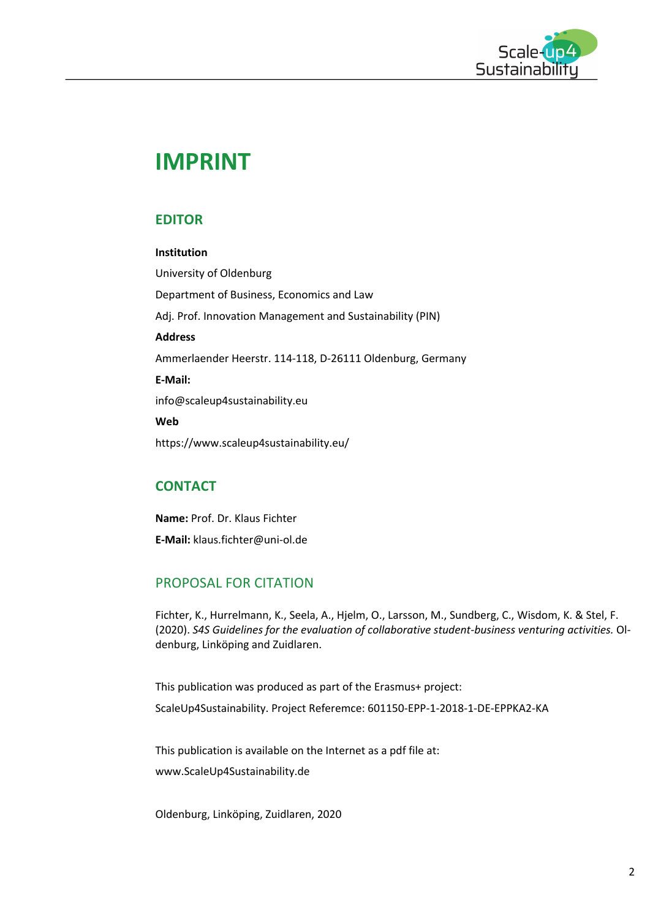

## **IMPRINT**

## **EDITOR**

#### **Institution**

University of Oldenburg Department of Business, Economics and Law Adj. Prof. Innovation Management and Sustainability (PIN) **Address** Ammerlaender Heerstr. 114-118, D-26111 Oldenburg, Germany **E-Mail:** info@scaleup4sustainability.eu **Web** https://www.scaleup4sustainability.eu/

## **CONTACT**

**Name:** Prof. Dr. Klaus Fichter **E-Mail:** klaus.fichter@uni-ol.de

## PROPOSAL FOR CITATION

Fichter, K., Hurrelmann, K., Seela, A., Hjelm, O., Larsson, M., Sundberg, C., Wisdom, K. & Stel, F. (2020). *S4S Guidelines for the evaluation of collaborative student-business venturing activities.* Oldenburg, Linköping and Zuidlaren.

This publication was produced as part of the Erasmus+ project: ScaleUp4Sustainability. Project Referemce: 601150-EPP-1-2018-1-DE-EPPKA2-KA

This publication is available on the Internet as a pdf file at: www.ScaleUp4Sustainability.de

Oldenburg, Linköping, Zuidlaren, 2020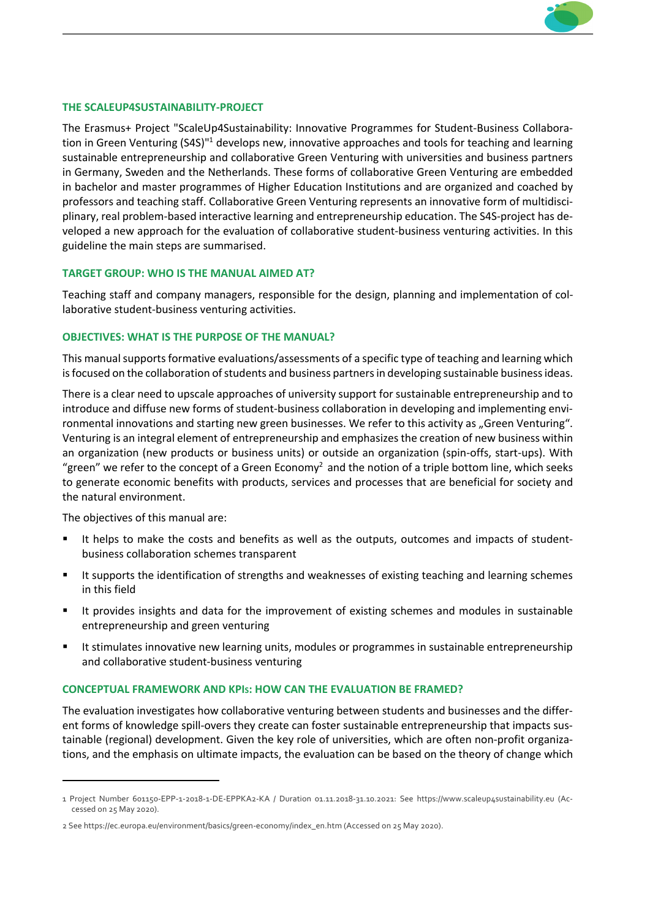

#### **THE SCALEUP4SUSTAINABILITY-PROJECT**

The Erasmus+ Project "ScaleUp4Sustainability: Innovative Programmes for Student-Business Collaboration in Green Venturing (S4S)"1 develops new, innovative approaches and tools for teaching and learning sustainable entrepreneurship and collaborative Green Venturing with universities and business partners in Germany, Sweden and the Netherlands. These forms of collaborative Green Venturing are embedded in bachelor and master programmes of Higher Education Institutions and are organized and coached by professors and teaching staff. Collaborative Green Venturing represents an innovative form of multidisciplinary, real problem-based interactive learning and entrepreneurship education. The S4S-project has developed a new approach for the evaluation of collaborative student-business venturing activities. In this guideline the main steps are summarised.

#### **TARGET GROUP: WHO IS THE MANUAL AIMED AT?**

Teaching staff and company managers, responsible for the design, planning and implementation of collaborative student-business venturing activities.

#### **OBJECTIVES: WHAT IS THE PURPOSE OF THE MANUAL?**

This manual supports formative evaluations/assessments of a specific type of teaching and learning which is focused on the collaboration of students and business partners in developing sustainable business ideas.

There is a clear need to upscale approaches of university support for sustainable entrepreneurship and to introduce and diffuse new forms of student-business collaboration in developing and implementing environmental innovations and starting new green businesses. We refer to this activity as "Green Venturing". Venturing is an integral element of entrepreneurship and emphasizes the creation of new business within an organization (new products or business units) or outside an organization (spin-offs, start-ups). With "green" we refer to the concept of a Green Economy<sup>2</sup> and the notion of a triple bottom line, which seeks to generate economic benefits with products, services and processes that are beneficial for society and the natural environment.

The objectives of this manual are:

- It helps to make the costs and benefits as well as the outputs, outcomes and impacts of studentbusiness collaboration schemes transparent
- It supports the identification of strengths and weaknesses of existing teaching and learning schemes in this field
- It provides insights and data for the improvement of existing schemes and modules in sustainable entrepreneurship and green venturing
- It stimulates innovative new learning units, modules or programmes in sustainable entrepreneurship and collaborative student-business venturing

#### **CONCEPTUAL FRAMEWORK AND KPIS: HOW CAN THE EVALUATION BE FRAMED?**

The evaluation investigates how collaborative venturing between students and businesses and the different forms of knowledge spill-overs they create can foster sustainable entrepreneurship that impacts sustainable (regional) development. Given the key role of universities, which are often non-profit organizations, and the emphasis on ultimate impacts, the evaluation can be based on the theory of change which

<sup>1</sup> Project Number 601150-EPP-1-2018-1-DE-EPPKA2-KA / Duration 01.11.2018-31.10.2021: See https://www.scaleup4sustainability.eu (Accessed on 25 May 2020).

<sup>2</sup> See https://ec.europa.eu/environment/basics/green-economy/index\_en.htm (Accessed on 25 May 2020).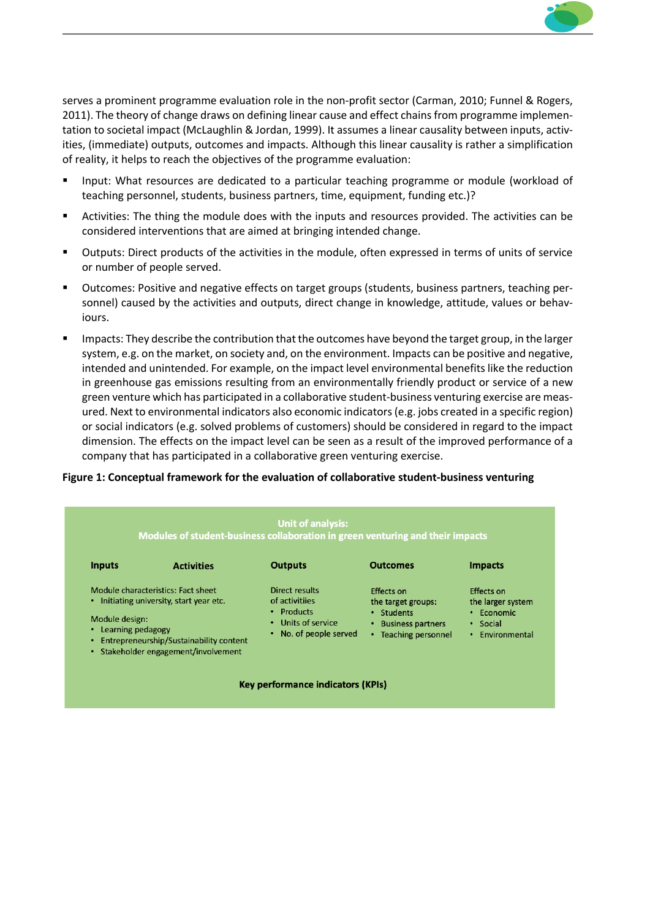

serves a prominent programme evaluation role in the non-profit sector (Carman, 2010; Funnel & Rogers, 2011). The theory of change draws on defining linear cause and effect chains from programme implementation to societal impact (McLaughlin & Jordan, 1999). It assumes a linear causality between inputs, activities, (immediate) outputs, outcomes and impacts. Although this linear causality is rather a simplification of reality, it helps to reach the objectives of the programme evaluation:

- § Input: What resources are dedicated to a particular teaching programme or module (workload of teaching personnel, students, business partners, time, equipment, funding etc.)?
- § Activities: The thing the module does with the inputs and resources provided. The activities can be considered interventions that are aimed at bringing intended change.
- § Outputs: Direct products of the activities in the module, often expressed in terms of units of service or number of people served.
- § Outcomes: Positive and negative effects on target groups (students, business partners, teaching personnel) caused by the activities and outputs, direct change in knowledge, attitude, values or behaviours.
- Impacts: They describe the contribution that the outcomes have beyond the target group, in the larger system, e.g. on the market, on society and, on the environment. Impacts can be positive and negative, intended and unintended. For example, on the impact level environmental benefits like the reduction in greenhouse gas emissions resulting from an environmentally friendly product or service of a new green venture which has participated in a collaborative student-business venturing exercise are measured. Next to environmental indicators also economic indicators (e.g. jobs created in a specific region) or social indicators (e.g. solved problems of customers) should be considered in regard to the impact dimension. The effects on the impact level can be seen as a result of the improved performance of a company that has participated in a collaborative green venturing exercise.

#### **Figure 1: Conceptual framework for the evaluation of collaborative student-business venturing**

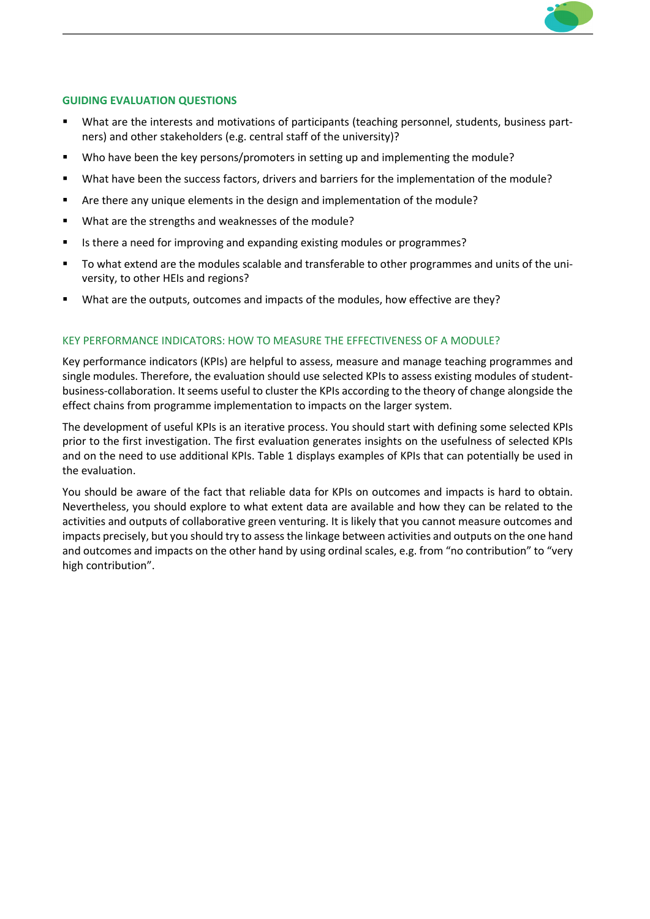

#### **GUIDING EVALUATION QUESTIONS**

- What are the interests and motivations of participants (teaching personnel, students, business partners) and other stakeholders (e.g. central staff of the university)?
- § Who have been the key persons/promoters in setting up and implementing the module?
- § What have been the success factors, drivers and barriers for the implementation of the module?
- § Are there any unique elements in the design and implementation of the module?
- § What are the strengths and weaknesses of the module?
- Is there a need for improving and expanding existing modules or programmes?
- To what extend are the modules scalable and transferable to other programmes and units of the university, to other HEIs and regions?
- What are the outputs, outcomes and impacts of the modules, how effective are they?

#### KEY PERFORMANCE INDICATORS: HOW TO MEASURE THE EFFECTIVENESS OF A MODULE?

Key performance indicators (KPIs) are helpful to assess, measure and manage teaching programmes and single modules. Therefore, the evaluation should use selected KPIs to assess existing modules of studentbusiness-collaboration. It seems useful to cluster the KPIs according to the theory of change alongside the effect chains from programme implementation to impacts on the larger system.

The development of useful KPIs is an iterative process. You should start with defining some selected KPIs prior to the first investigation. The first evaluation generates insights on the usefulness of selected KPIs and on the need to use additional KPIs. Table 1 displays examples of KPIs that can potentially be used in the evaluation.

You should be aware of the fact that reliable data for KPIs on outcomes and impacts is hard to obtain. Nevertheless, you should explore to what extent data are available and how they can be related to the activities and outputs of collaborative green venturing. It is likely that you cannot measure outcomes and impacts precisely, but you should try to assess the linkage between activities and outputs on the one hand and outcomes and impacts on the other hand by using ordinal scales, e.g. from "no contribution" to "very high contribution".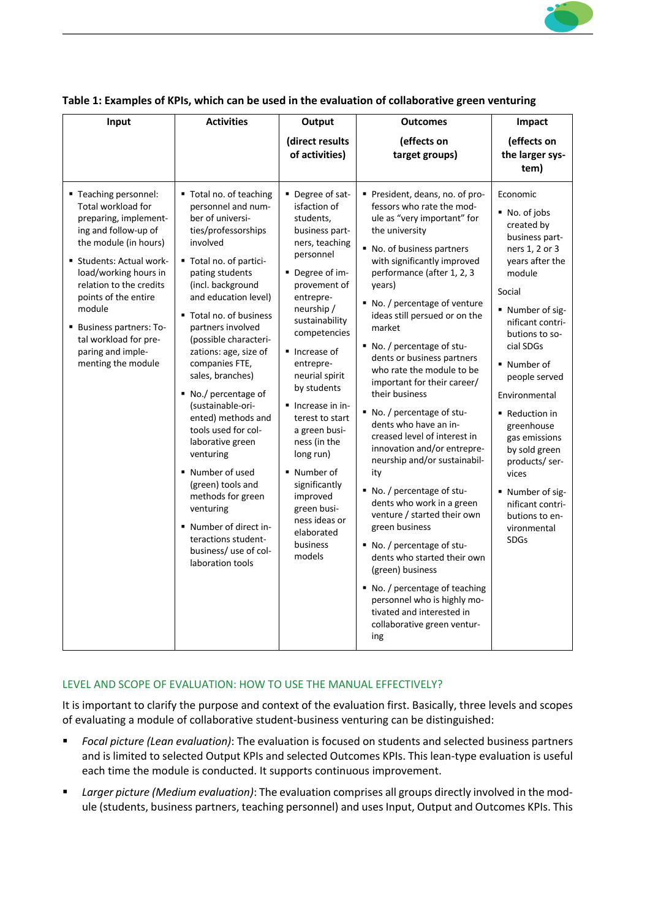

| Input                                                                                                                                                                                                                                                                                                                                        | <b>Activities</b>                                                                                                                                                                                                                                                                                                                                                                                                                                                                                                                                                                                                                         | Output                                                                                                                                                                                                                                                                                                                                                                                                                                                            | <b>Outcomes</b>                                                                                                                                                                                                                                                                                                                                                                                                                                                                                                                                                                                                                                                                                                                                                                                                                                                                                                                    | Impact                                                                                                                                                                                                                                                                                                                                                                                                                       |
|----------------------------------------------------------------------------------------------------------------------------------------------------------------------------------------------------------------------------------------------------------------------------------------------------------------------------------------------|-------------------------------------------------------------------------------------------------------------------------------------------------------------------------------------------------------------------------------------------------------------------------------------------------------------------------------------------------------------------------------------------------------------------------------------------------------------------------------------------------------------------------------------------------------------------------------------------------------------------------------------------|-------------------------------------------------------------------------------------------------------------------------------------------------------------------------------------------------------------------------------------------------------------------------------------------------------------------------------------------------------------------------------------------------------------------------------------------------------------------|------------------------------------------------------------------------------------------------------------------------------------------------------------------------------------------------------------------------------------------------------------------------------------------------------------------------------------------------------------------------------------------------------------------------------------------------------------------------------------------------------------------------------------------------------------------------------------------------------------------------------------------------------------------------------------------------------------------------------------------------------------------------------------------------------------------------------------------------------------------------------------------------------------------------------------|------------------------------------------------------------------------------------------------------------------------------------------------------------------------------------------------------------------------------------------------------------------------------------------------------------------------------------------------------------------------------------------------------------------------------|
|                                                                                                                                                                                                                                                                                                                                              |                                                                                                                                                                                                                                                                                                                                                                                                                                                                                                                                                                                                                                           | (direct results<br>of activities)                                                                                                                                                                                                                                                                                                                                                                                                                                 | (effects on<br>target groups)                                                                                                                                                                                                                                                                                                                                                                                                                                                                                                                                                                                                                                                                                                                                                                                                                                                                                                      | (effects on<br>the larger sys-<br>tem)                                                                                                                                                                                                                                                                                                                                                                                       |
| ■ Teaching personnel:<br>Total workload for<br>preparing, implement-<br>ing and follow-up of<br>the module (in hours)<br>" Students: Actual work-<br>load/working hours in<br>relation to the credits<br>points of the entire<br>module<br><b>Business partners: To-</b><br>tal workload for pre-<br>paring and imple-<br>menting the module | ■ Total no. of teaching<br>personnel and num-<br>ber of universi-<br>ties/professorships<br>involved<br>" Total no. of partici-<br>pating students<br>(incl. background<br>and education level)<br>■ Total no. of business<br>partners involved<br>(possible characteri-<br>zations: age, size of<br>companies FTE,<br>sales, branches)<br>No./ percentage of<br>(sustainable-ori-<br>ented) methods and<br>tools used for col-<br>laborative green<br>venturing<br>■ Number of used<br>(green) tools and<br>methods for green<br>venturing<br>" Number of direct in-<br>teractions student-<br>business/ use of col-<br>laboration tools | " Degree of sat-<br>isfaction of<br>students,<br>business part-<br>ners, teaching<br>personnel<br>■ Degree of im-<br>provement of<br>entrepre-<br>neurship /<br>sustainability<br>competencies<br>lncrease of<br>entrepre-<br>neurial spirit<br>by students<br>■ Increase in in-<br>terest to start<br>a green busi-<br>ness (in the<br>long run)<br>• Number of<br>significantly<br>improved<br>green busi-<br>ness ideas or<br>elaborated<br>business<br>models | President, deans, no. of pro-<br>fessors who rate the mod-<br>ule as "very important" for<br>the university<br>■ No. of business partners<br>with significantly improved<br>performance (after 1, 2, 3<br>years)<br>No. / percentage of venture<br>ideas still persued or on the<br>market<br>■ No. / percentage of stu-<br>dents or business partners<br>who rate the module to be<br>important for their career/<br>their business<br>■ No. / percentage of stu-<br>dents who have an in-<br>creased level of interest in<br>innovation and/or entrepre-<br>neurship and/or sustainabil-<br>ity<br>■ No. / percentage of stu-<br>dents who work in a green<br>venture / started their own<br>green business<br>■ No. / percentage of stu-<br>dents who started their own<br>(green) business<br>■ No. / percentage of teaching<br>personnel who is highly mo-<br>tivated and interested in<br>collaborative green ventur-<br>ing | Economic<br>■ No. of jobs<br>created by<br>business part-<br>ners 1, 2 or 3<br>years after the<br>module<br>Social<br>■ Number of sig-<br>nificant contri-<br>butions to so-<br>cial SDGs<br>• Number of<br>people served<br>Environmental<br>Reduction in<br>greenhouse<br>gas emissions<br>by sold green<br>products/ser-<br>vices<br>" Number of sig-<br>nificant contri-<br>butions to en-<br>vironmental<br><b>SDGs</b> |

#### **Table 1: Examples of KPIs, which can be used in the evaluation of collaborative green venturing**

#### LEVEL AND SCOPE OF EVALUATION: HOW TO USE THE MANUAL EFFECTIVELY?

It is important to clarify the purpose and context of the evaluation first. Basically, three levels and scopes of evaluating a module of collaborative student-business venturing can be distinguished:

- § *Focal picture (Lean evaluation)*: The evaluation is focused on students and selected business partners and is limited to selected Output KPIs and selected Outcomes KPIs. This lean-type evaluation is useful each time the module is conducted. It supports continuous improvement.
- § *Larger picture (Medium evaluation)*: The evaluation comprises all groups directly involved in the module (students, business partners, teaching personnel) and uses Input, Output and Outcomes KPIs. This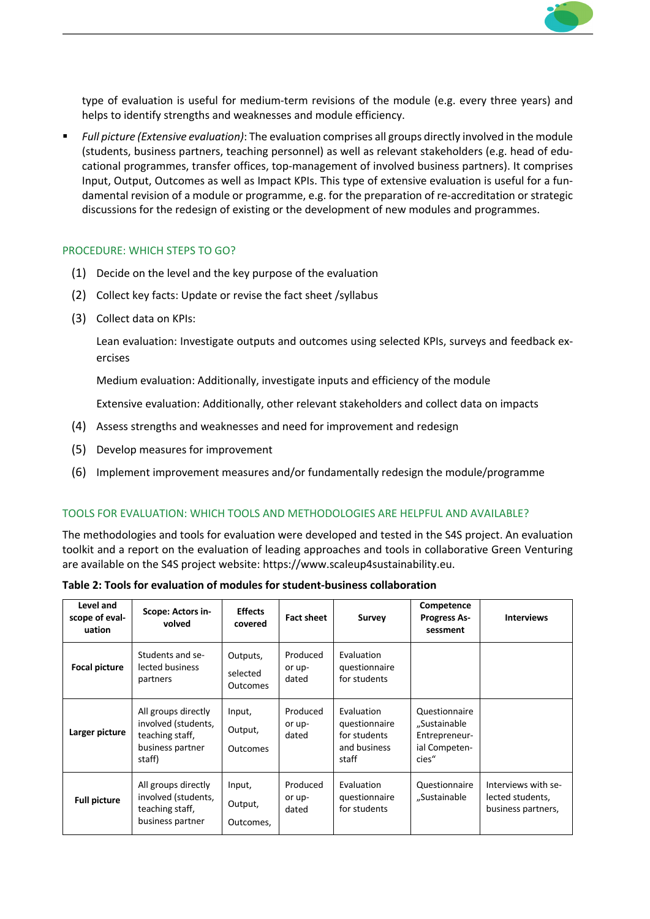

type of evaluation is useful for medium-term revisions of the module (e.g. every three years) and helps to identify strengths and weaknesses and module efficiency.

§ *Full picture (Extensive evaluation)*: The evaluation comprises all groups directly involved in the module (students, business partners, teaching personnel) as well as relevant stakeholders (e.g. head of educational programmes, transfer offices, top-management of involved business partners). It comprises Input, Output, Outcomes as well as Impact KPIs. This type of extensive evaluation is useful for a fundamental revision of a module or programme, e.g. for the preparation of re-accreditation or strategic discussions for the redesign of existing or the development of new modules and programmes.

#### PROCEDURE: WHICH STEPS TO GO?

- (1) Decide on the level and the key purpose of the evaluation
- (2) Collect key facts: Update or revise the fact sheet /syllabus
- (3) Collect data on KPIs:

Lean evaluation: Investigate outputs and outcomes using selected KPIs, surveys and feedback exercises

Medium evaluation: Additionally, investigate inputs and efficiency of the module

Extensive evaluation: Additionally, other relevant stakeholders and collect data on impacts

- (4) Assess strengths and weaknesses and need for improvement and redesign
- (5) Develop measures for improvement
- (6) Implement improvement measures and/or fundamentally redesign the module/programme

#### TOOLS FOR EVALUATION: WHICH TOOLS AND METHODOLOGIES ARE HELPFUL AND AVAILABLE?

The methodologies and tools for evaluation were developed and tested in the S4S project. An evaluation toolkit and a report on the evaluation of leading approaches and tools in collaborative Green Venturing are available on the S4S project website: https://www.scaleup4sustainability.eu.

| Table 2: Tools for evaluation of modules for student-business collaboration |  |  |
|-----------------------------------------------------------------------------|--|--|
|-----------------------------------------------------------------------------|--|--|

| Level and<br>scope of eval-<br>uation | Scope: Actors in-<br>volved                                                                 | <b>Effects</b><br>covered            | <b>Fact sheet</b>           | <b>Survey</b>                                                        | Competence<br><b>Progress As-</b><br>sessment                            | <b>Interviews</b>                                             |
|---------------------------------------|---------------------------------------------------------------------------------------------|--------------------------------------|-----------------------------|----------------------------------------------------------------------|--------------------------------------------------------------------------|---------------------------------------------------------------|
| <b>Focal picture</b>                  | Students and se-<br>lected business<br>partners                                             | Outputs,<br>selected<br>Outcomes     | Produced<br>or up-<br>dated | Evaluation<br>questionnaire<br>for students                          |                                                                          |                                                               |
| Larger picture                        | All groups directly<br>involved (students,<br>teaching staff,<br>business partner<br>staff) | Input,<br>Output,<br><b>Outcomes</b> | Produced<br>or up-<br>dated | Evaluation<br>questionnaire<br>for students<br>and business<br>staff | Questionnaire<br>"Sustainable<br>Entrepreneur-<br>ial Competen-<br>cies" |                                                               |
| <b>Full picture</b>                   | All groups directly<br>involved (students,<br>teaching staff,<br>business partner           | Input,<br>Output,<br>Outcomes.       | Produced<br>or up-<br>dated | Evaluation<br>questionnaire<br>for students                          | Questionnaire<br>"Sustainable                                            | Interviews with se-<br>lected students,<br>business partners, |